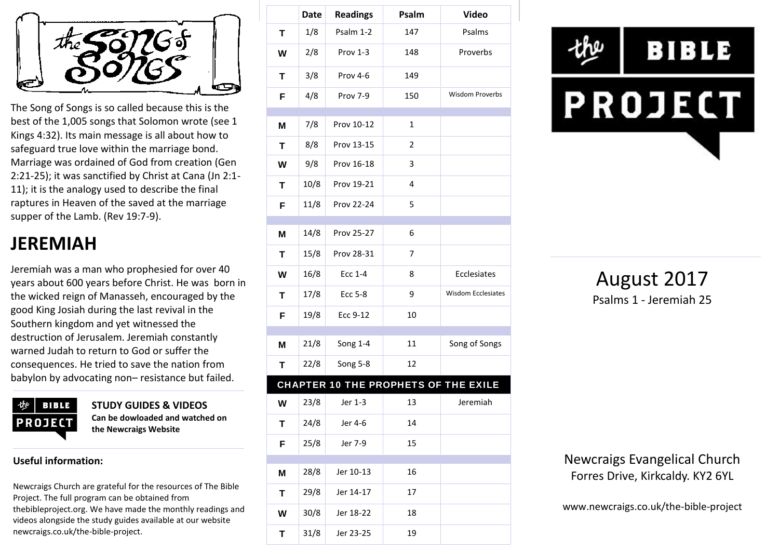

The Song of Songs is so called because this is the best of the 1,005 songs that Solomon wrote (see 1 Kings 4:32). Its main message is all about how to safeguard true love within the marriage bond. Marriage was ordained of God from creation (Gen 2:21-25); it was sanctified by Christ at Cana (Jn 2:1- 11); it is the analogy used to describe the final raptures in Heaven of the saved at the marriage supper of the Lamb. (Rev 19:7-9).

# **JEREMIAH**

Jeremiah was a man who prophesied for over 40 years about 600 years before Christ. He was born in the wicked reign of Manasseh, encouraged by the good King Josiah during the last revival in the Southern kingdom and yet witnessed the destruction of Jerusalem. Jeremiah constantly warned Judah to return to God or suffer the consequences. He tried to save the nation from babylon by advocating non– resistance but failed.



**STUDY GUIDES & VIDEOS Can be dowloaded and watched on the Newcraigs Website**

#### **Useful information:**

Newcraigs Church are grateful for the resources of The Bible Project. The full program can be obtained from thebibleproject.org. We have made the monthly readings and videos alongside the study guides available at our website newcraigs.co.uk/the-bible-project.

|   | <b>Date</b> | <b>Readings</b> | Psalm          | <b>Video</b>                         |
|---|-------------|-----------------|----------------|--------------------------------------|
| T | 1/8         | Psalm 1-2       | 147            | Psalms                               |
| W | 2/8         | Prov 1-3        | 148            | Proverbs                             |
| т | 3/8         | Prov 4-6        | 149            |                                      |
| F | 4/8         | Prov 7-9        | 150            | Wisdom Proverbs                      |
|   |             |                 |                |                                      |
| M | 7/8         | Prov 10-12      | $\mathbf{1}$   |                                      |
| Т | 8/8         | Prov 13-15      | $\overline{2}$ |                                      |
| W | 9/8         | Prov 16-18      | 3              |                                      |
| Т | 10/8        | Prov 19-21      | 4              |                                      |
| F | 11/8        | Prov 22-24      | 5              |                                      |
|   |             |                 |                |                                      |
| M | 14/8        | Prov 25-27      | 6              |                                      |
| Τ | 15/8        | Prov 28-31      | $\overline{7}$ |                                      |
| W | 16/8        | <b>Ecc 1-4</b>  | 8              | Ecclesiates                          |
| Т | 17/8        | Ecc 5-8         | 9              | <b>Wisdom Ecclesiates</b>            |
| F | 19/8        | Ecc 9-12        | 10             |                                      |
|   |             |                 |                |                                      |
| M | 21/8        | Song 1-4        | 11             | Song of Songs                        |
| Т | 22/8        | Song 5-8        | 12             |                                      |
|   |             |                 |                | CHAPTER 10 THE PROPHETS OF THE EXILE |
| W | 23/8        | Jer 1-3         | 13             | Jeremiah                             |
| Т | 24/8        | Jer 4-6         | 14             |                                      |
| F | 25/8        | Jer 7-9         | 15             |                                      |
|   |             |                 |                |                                      |
| M | 28/8        | Jer 10-13       | 16             |                                      |
| Т | 29/8        | Jer 14-17       | 17             |                                      |
| W | 30/8        | Jer 18-22       | 18             |                                      |
| T | 31/8        | Jer 23-25       | 19             |                                      |



August 2017 Psalms 1 - Jeremiah 25

Newcraigs Evangelical Church Forres Drive, Kirkcaldy. KY2 6YL

www.newcraigs.co.uk/the-bible-project